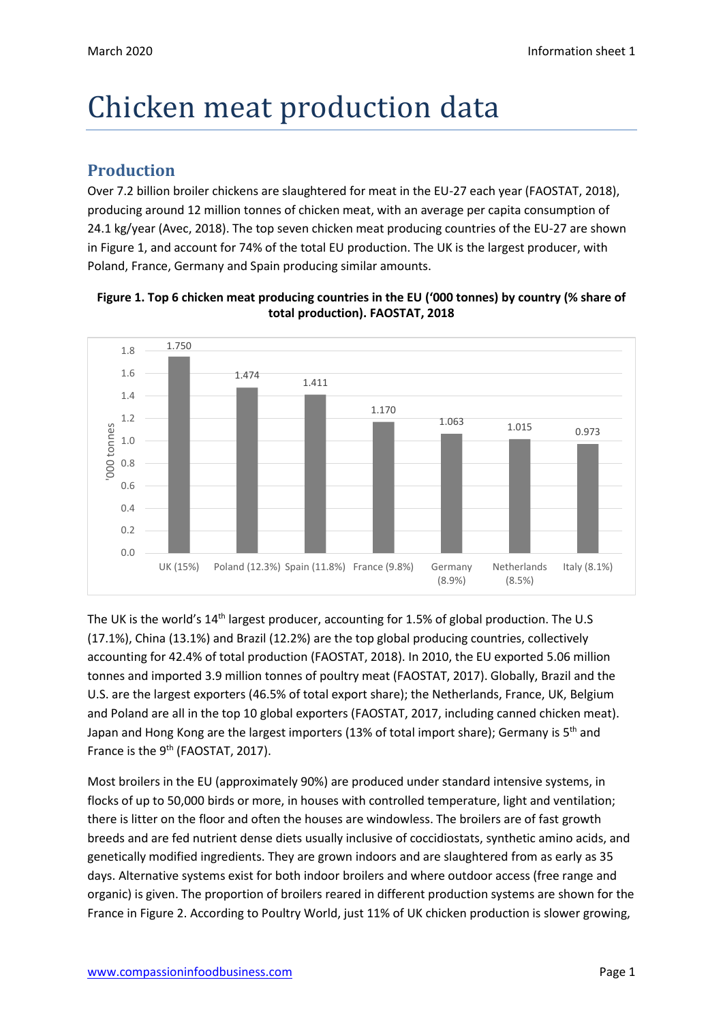# Chicken meat production data

### **Production**

Over 7.2 billion broiler chickens are slaughtered for meat in the EU-27 each year (FAOSTAT, 2018), producing around 12 million tonnes of chicken meat, with an average per capita consumption of 24.1 kg/year (Avec, 2018). The top seven chicken meat producing countries of the EU-27 are shown in Figure 1, and account for 74% of the total EU production. The UK is the largest producer, with Poland, France, Germany and Spain producing similar amounts.





The UK is the world's 14<sup>th</sup> largest producer, accounting for 1.5% of global production. The U.S (17.1%), China (13.1%) and Brazil (12.2%) are the top global producing countries, collectively accounting for 42.4% of total production (FAOSTAT, 2018). In 2010, the EU exported 5.06 million tonnes and imported 3.9 million tonnes of poultry meat (FAOSTAT, 2017). Globally, Brazil and the U.S. are the largest exporters (46.5% of total export share); the Netherlands, France, UK, Belgium and Poland are all in the top 10 global exporters (FAOSTAT, 2017, including canned chicken meat). Japan and Hong Kong are the largest importers (13% of total import share); Germany is  $5<sup>th</sup>$  and France is the 9<sup>th</sup> (FAOSTAT, 2017).

Most broilers in the EU (approximately 90%) are produced under standard intensive systems, in flocks of up to 50,000 birds or more, in houses with controlled temperature, light and ventilation; there is litter on the floor and often the houses are windowless. The broilers are of fast growth breeds and are fed nutrient dense diets usually inclusive of coccidiostats, synthetic amino acids, and genetically modified ingredients. They are grown indoors and are slaughtered from as early as 35 days. Alternative systems exist for both indoor broilers and where outdoor access (free range and organic) is given. The proportion of broilers reared in different production systems are shown for the France in Figure 2. According to Poultry World, just 11% of UK chicken production is slower growing,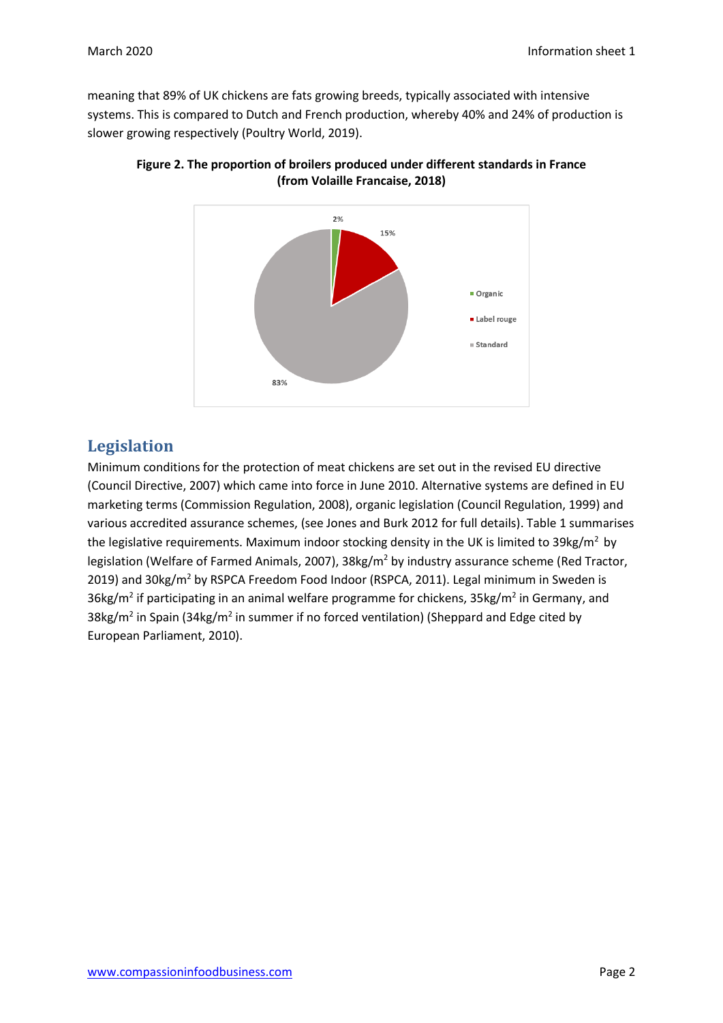meaning that 89% of UK chickens are fats growing breeds, typically associated with intensive systems. This is compared to Dutch and French production, whereby 40% and 24% of production is slower growing respectively (Poultry World, 2019).





## **Legislation**

Minimum conditions for the protection of meat chickens are set out in the revised EU directive (Council Directive, 2007) which came into force in June 2010. Alternative systems are defined in EU marketing terms (Commission Regulation, 2008), organic legislation (Council Regulation, 1999) and various accredited assurance schemes, (see Jones and Burk 2012 for full details). Table 1 summarises the legislative requirements. Maximum indoor stocking density in the UK is limited to  $39\text{kg/m}^2$  by legislation (Welfare of Farmed Animals, 2007), 38kg/m<sup>2</sup> by industry assurance scheme (Red Tractor, 2019) and 30kg/m<sup>2</sup> by RSPCA Freedom Food Indoor (RSPCA, 2011). Legal minimum in Sweden is 36kg/m<sup>2</sup> if participating in an animal welfare programme for chickens, 35kg/m<sup>2</sup> in Germany, and 38kg/m<sup>2</sup> in Spain (34kg/m<sup>2</sup> in summer if no forced ventilation) (Sheppard and Edge cited by European Parliament, 2010).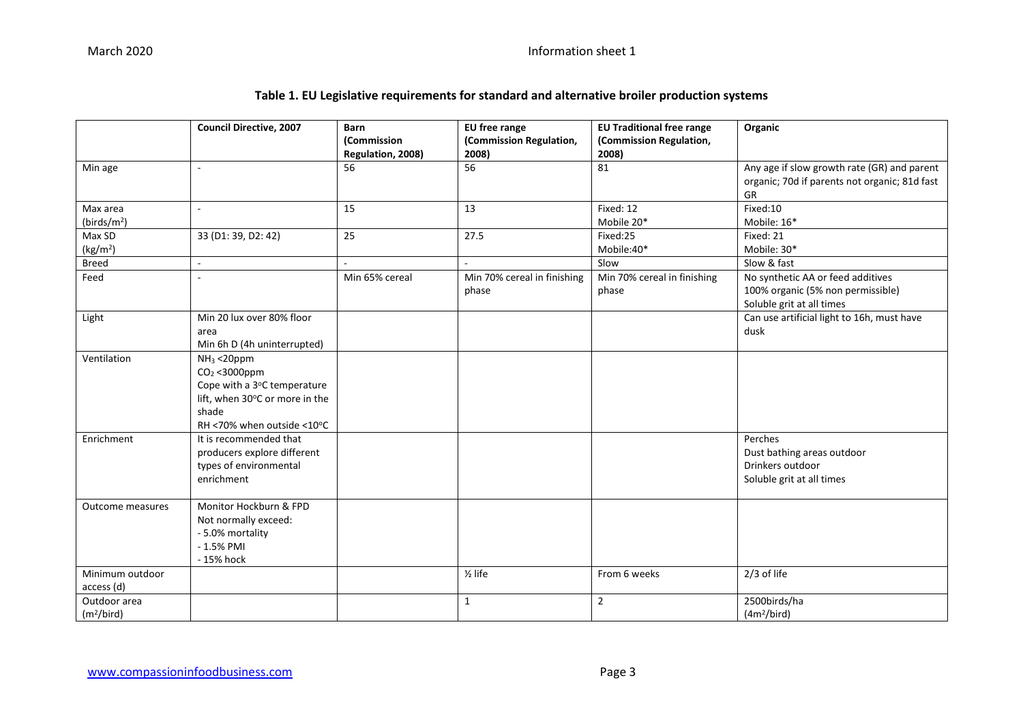#### March 2020 **Information sheet 1**

| Table 1. EU Legislative requirements for standard and alternative broiler production systems |  |
|----------------------------------------------------------------------------------------------|--|
|----------------------------------------------------------------------------------------------|--|

|                        | <b>Council Directive, 2007</b>                | <b>Barn</b><br>(Commission | EU free range<br>(Commission Regulation, | <b>EU Traditional free range</b><br>(Commission Regulation, | Organic                                       |
|------------------------|-----------------------------------------------|----------------------------|------------------------------------------|-------------------------------------------------------------|-----------------------------------------------|
|                        |                                               | Regulation, 2008)          | 2008)                                    | 2008)                                                       |                                               |
| Min age                | $\sim$                                        | 56                         | 56                                       | 81                                                          | Any age if slow growth rate (GR) and parent   |
|                        |                                               |                            |                                          |                                                             | organic; 70d if parents not organic; 81d fast |
|                        |                                               |                            |                                          |                                                             | <b>GR</b>                                     |
| Max area               | $\sim$                                        | 15                         | 13                                       | Fixed: 12                                                   | Fixed:10                                      |
| (birds/ $m2$ )         |                                               |                            |                                          | Mobile 20*                                                  | Mobile: 16*                                   |
| Max SD                 | 33 (D1: 39, D2: 42)                           | 25                         | 27.5                                     | Fixed:25                                                    | Fixed: 21                                     |
| (kg/m <sup>2</sup> )   |                                               |                            |                                          | Mobile:40*                                                  | Mobile: 30*                                   |
| <b>Breed</b>           | $\overline{a}$                                |                            |                                          | Slow                                                        | Slow & fast                                   |
| Feed                   | ÷,                                            | Min 65% cereal             | Min 70% cereal in finishing              | Min 70% cereal in finishing                                 | No synthetic AA or feed additives             |
|                        |                                               |                            | phase                                    | phase                                                       | 100% organic (5% non permissible)             |
|                        |                                               |                            |                                          |                                                             | Soluble grit at all times                     |
| Light                  | Min 20 lux over 80% floor                     |                            |                                          |                                                             | Can use artificial light to 16h, must have    |
|                        | area                                          |                            |                                          |                                                             | dusk                                          |
| Ventilation            | Min 6h D (4h uninterrupted)<br>$NH3 < 20$ ppm |                            |                                          |                                                             |                                               |
|                        | $CO2 < 3000$ ppm                              |                            |                                          |                                                             |                                               |
|                        | Cope with a 3°C temperature                   |                            |                                          |                                                             |                                               |
|                        | lift, when 30°C or more in the                |                            |                                          |                                                             |                                               |
|                        | shade                                         |                            |                                          |                                                             |                                               |
|                        | RH <70% when outside <10°C                    |                            |                                          |                                                             |                                               |
| Enrichment             | It is recommended that                        |                            |                                          |                                                             | Perches                                       |
|                        | producers explore different                   |                            |                                          |                                                             | Dust bathing areas outdoor                    |
|                        | types of environmental                        |                            |                                          |                                                             | Drinkers outdoor                              |
|                        | enrichment                                    |                            |                                          |                                                             | Soluble grit at all times                     |
|                        |                                               |                            |                                          |                                                             |                                               |
| Outcome measures       | Monitor Hockburn & FPD                        |                            |                                          |                                                             |                                               |
|                        | Not normally exceed:                          |                            |                                          |                                                             |                                               |
|                        | - 5.0% mortality                              |                            |                                          |                                                             |                                               |
|                        | $-1.5%$ PMI                                   |                            |                                          |                                                             |                                               |
|                        | - 15% hock                                    |                            |                                          |                                                             |                                               |
| Minimum outdoor        |                                               |                            | $\frac{1}{2}$ life                       | From 6 weeks                                                | $2/3$ of life                                 |
| access (d)             |                                               |                            |                                          |                                                             |                                               |
| Outdoor area           |                                               |                            | $\mathbf{1}$                             | $\overline{2}$                                              | 2500birds/ha                                  |
| (m <sup>2</sup> /bird) |                                               |                            |                                          |                                                             | (4m <sup>2</sup> /bird)                       |